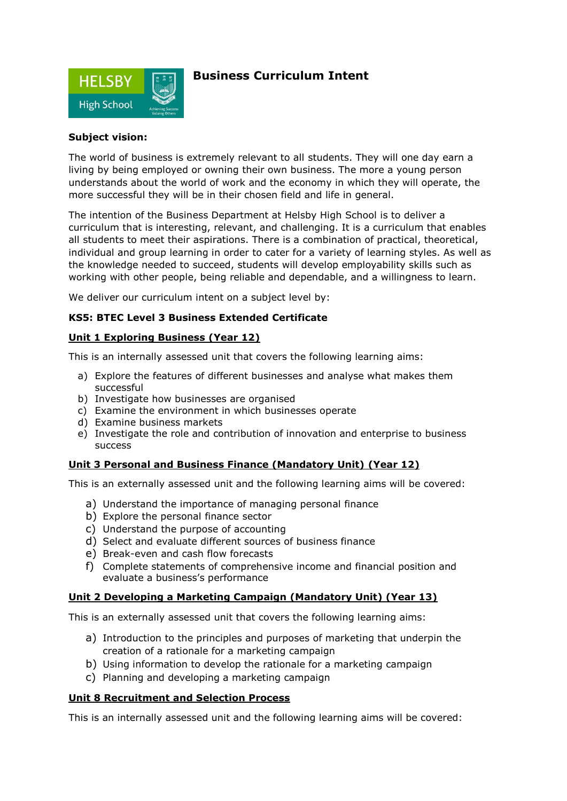

## **Business Curriculum Intent**

#### **Subject vision:**

The world of business is extremely relevant to all students. They will one day earn a living by being employed or owning their own business. The more a young person understands about the world of work and the economy in which they will operate, the more successful they will be in their chosen field and life in general.

The intention of the Business Department at Helsby High School is to deliver a curriculum that is interesting, relevant, and challenging. It is a curriculum that enables all students to meet their aspirations. There is a combination of practical, theoretical, individual and group learning in order to cater for a variety of learning styles. As well as the knowledge needed to succeed, students will develop employability skills such as working with other people, being reliable and dependable, and a willingness to learn.

We deliver our curriculum intent on a subject level by:

### **KS5: BTEC Level 3 Business Extended Certificate**

### **Unit 1 Exploring Business (Year 12)**

This is an internally assessed unit that covers the following learning aims:

- a) Explore the features of different businesses and analyse what makes them successful
- b) Investigate how businesses are organised
- c) Examine the environment in which businesses operate
- d) Examine business markets
- e) Investigate the role and contribution of innovation and enterprise to business success

### **Unit 3 Personal and Business Finance (Mandatory Unit) (Year 12)**

This is an externally assessed unit and the following learning aims will be covered:

- a) Understand the importance of managing personal finance
- b) Explore the personal finance sector
- c) Understand the purpose of accounting
- d) Select and evaluate different sources of business finance
- e) Break-even and cash flow forecasts
- f) Complete statements of comprehensive income and financial position and evaluate a business's performance

### **Unit 2 Developing a Marketing Campaign (Mandatory Unit) (Year 13)**

This is an externally assessed unit that covers the following learning aims:

- a) Introduction to the principles and purposes of marketing that underpin the creation of a rationale for a marketing campaign
- b) Using information to develop the rationale for a marketing campaign
- c) Planning and developing a marketing campaign

### **Unit 8 Recruitment and Selection Process**

This is an internally assessed unit and the following learning aims will be covered: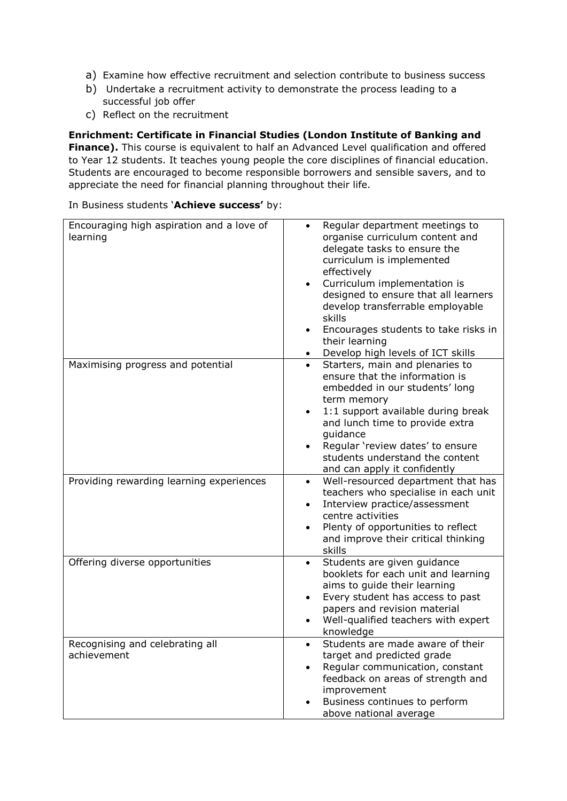- a) Examine how effective recruitment and selection contribute to business success
- b) Undertake a recruitment activity to demonstrate the process leading to a successful job offer
- c) Reflect on the recruitment

**Enrichment: Certificate in Financial Studies (London Institute of Banking and Finance).** This course is equivalent to half an Advanced Level qualification and offered to Year 12 students. It teaches young people the core disciplines of financial education. Students are encouraged to become responsible borrowers and sensible savers, and to appreciate the need for financial planning throughout their life.

In Business students '**Achieve success'** by:

| Encouraging high aspiration and a love of<br>learning | Regular department meetings to<br>organise curriculum content and<br>delegate tasks to ensure the<br>curriculum is implemented<br>effectively<br>Curriculum implementation is<br>designed to ensure that all learners<br>develop transferrable employable<br>skills<br>Encourages students to take risks in<br>their learning<br>Develop high levels of ICT skills |
|-------------------------------------------------------|--------------------------------------------------------------------------------------------------------------------------------------------------------------------------------------------------------------------------------------------------------------------------------------------------------------------------------------------------------------------|
| Maximising progress and potential                     | Starters, main and plenaries to<br>$\bullet$<br>ensure that the information is<br>embedded in our students' long<br>term memory<br>1:1 support available during break<br>and lunch time to provide extra<br>guidance<br>Regular 'review dates' to ensure<br>$\bullet$<br>students understand the content<br>and can apply it confidently                           |
| Providing rewarding learning experiences              | Well-resourced department that has<br>$\bullet$<br>teachers who specialise in each unit<br>Interview practice/assessment<br>$\bullet$<br>centre activities<br>Plenty of opportunities to reflect<br>$\bullet$<br>and improve their critical thinking<br>skills                                                                                                     |
| Offering diverse opportunities                        | Students are given guidance<br>booklets for each unit and learning<br>aims to guide their learning<br>Every student has access to past<br>papers and revision material<br>Well-qualified teachers with expert<br>knowledge                                                                                                                                         |
| Recognising and celebrating all<br>achievement        | Students are made aware of their<br>target and predicted grade<br>Regular communication, constant<br>feedback on areas of strength and<br>improvement<br>Business continues to perform<br>above national average                                                                                                                                                   |